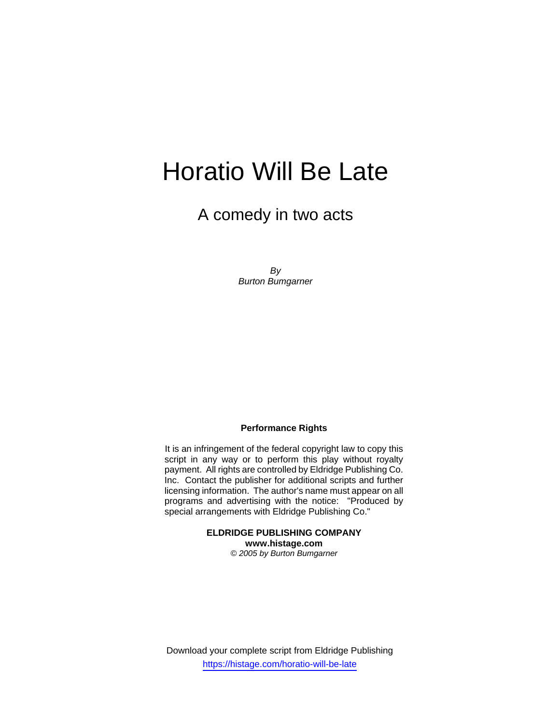# Horatio Will Be Late

A comedy in two acts

*By Burton Bumgarner* 

#### **Performance Rights**

It is an infringement of the federal copyright law to copy this script in any way or to perform this play without royalty payment. All rights are controlled by Eldridge Publishing Co. Inc. Contact the publisher for additional scripts and further licensing information. The author's name must appear on all programs and advertising with the notice: "Produced by special arrangements with Eldridge Publishing Co."

> **ELDRIDGE PUBLISHING COMPANY www.histage.com**  *© 2005 by Burton Bumgarner*

Download your complete script from Eldridge Publishing https://histage.com/horatio-will-be-late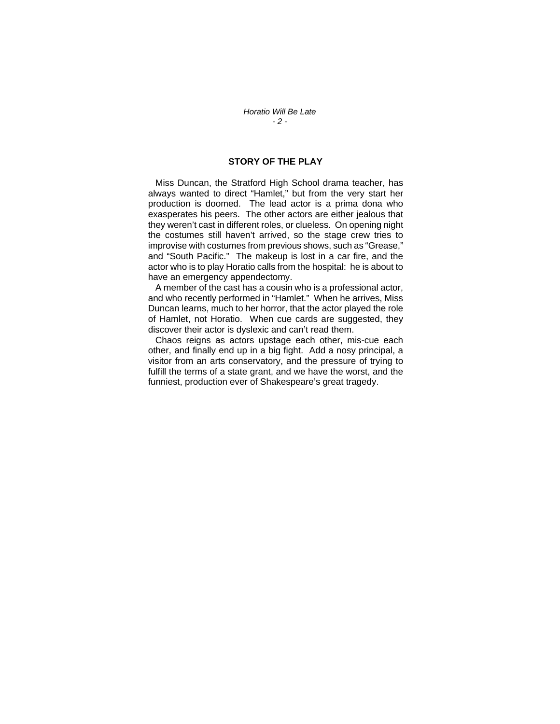#### **STORY OF THE PLAY**

 Miss Duncan, the Stratford High School drama teacher, has always wanted to direct "Hamlet," but from the very start her production is doomed. The lead actor is a prima dona who exasperates his peers. The other actors are either jealous that they weren't cast in different roles, or clueless. On opening night the costumes still haven't arrived, so the stage crew tries to improvise with costumes from previous shows, such as "Grease," and "South Pacific." The makeup is lost in a car fire, and the actor who is to play Horatio calls from the hospital: he is about to have an emergency appendectomy.

 A member of the cast has a cousin who is a professional actor, and who recently performed in "Hamlet." When he arrives, Miss Duncan learns, much to her horror, that the actor played the role of Hamlet, not Horatio. When cue cards are suggested, they discover their actor is dyslexic and can't read them.

 Chaos reigns as actors upstage each other, mis-cue each other, and finally end up in a big fight. Add a nosy principal, a visitor from an arts conservatory, and the pressure of trying to fulfill the terms of a state grant, and we have the worst, and the funniest, production ever of Shakespeare's great tragedy.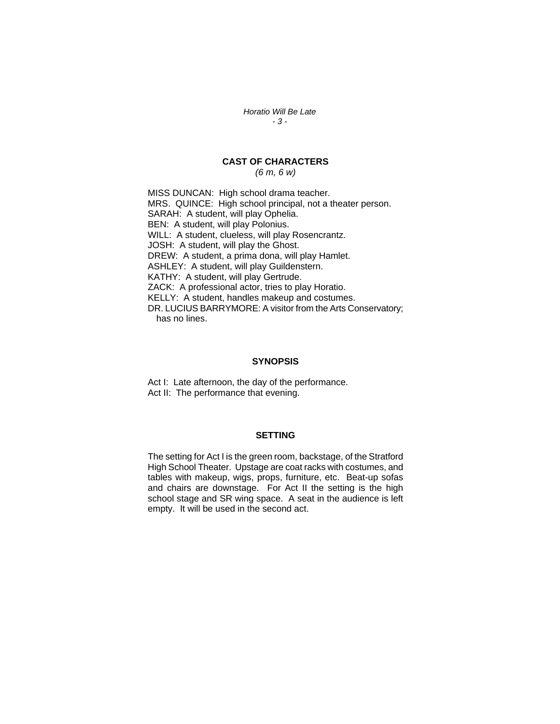*Horatio Will Be Late - 3 -* 

## **CAST OF CHARACTERS**

*(6 m, 6 w)* 

MISS DUNCAN: High school drama teacher. MRS. QUINCE: High school principal, not a theater person. SARAH: A student, will play Ophelia. BEN: A student, will play Polonius. WILL: A student, clueless, will play Rosencrantz. JOSH: A student, will play the Ghost. DREW: A student, a prima dona, will play Hamlet. ASHLEY: A student, will play Guildenstern. KATHY: A student, will play Gertrude. ZACK: A professional actor, tries to play Horatio. KELLY: A student, handles makeup and costumes. DR. LUCIUS BARRYMORE: A visitor from the Arts Conservatory; has no lines.

#### **SYNOPSIS**

Act I: Late afternoon, the day of the performance. Act II: The performance that evening.

#### **SETTING**

The setting for Act I is the green room, backstage, of the Stratford High School Theater. Upstage are coat racks with costumes, and tables with makeup, wigs, props, furniture, etc. Beat-up sofas and chairs are downstage. For Act II the setting is the high school stage and SR wing space. A seat in the audience is left empty. It will be used in the second act.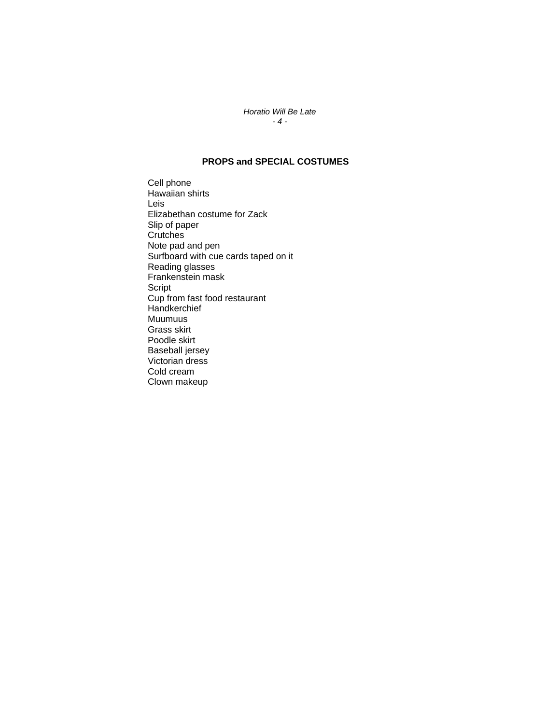#### *Horatio Will Be Late - 4 -*

### **PROPS and SPECIAL COSTUMES**

Cell phone Hawaiian shirts Leis Elizabethan costume for Zack Slip of paper **Crutches** Note pad and pen Surfboard with cue cards taped on it Reading glasses Frankenstein mask Script Cup from fast food restaurant **Handkerchief** Muumuus Grass skirt Poodle skirt Baseball jersey Victorian dress Cold cream Clown makeup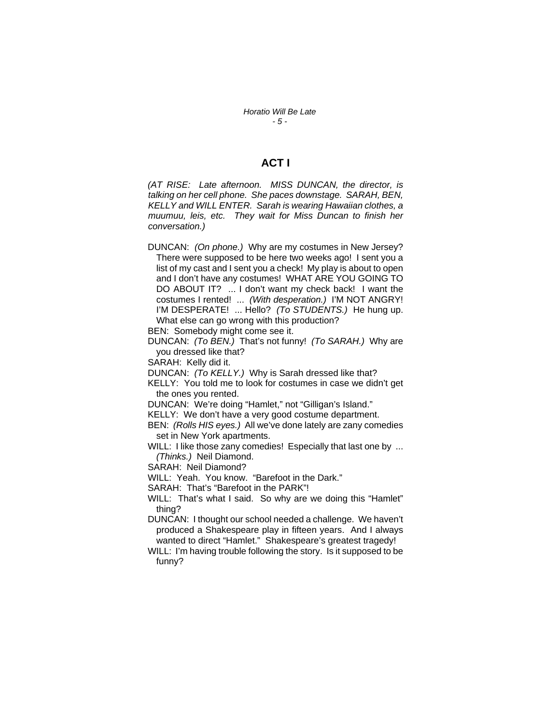## **ACT I**

*(AT RISE: Late afternoon. MISS DUNCAN, the director, is talking on her cell phone. She paces downstage. SARAH, BEN, KELLY and WILL ENTER. Sarah is wearing Hawaiian clothes, a muumuu, leis, etc. They wait for Miss Duncan to finish her conversation.)*

DUNCAN: *(On phone.)* Why are my costumes in New Jersey? There were supposed to be here two weeks ago! I sent you a list of my cast and I sent you a check! My play is about to open and I don't have any costumes! WHAT ARE YOU GOING TO DO ABOUT IT? ... I don't want my check back! I want the costumes I rented! ... *(With desperation.)* I'M NOT ANGRY! I'M DESPERATE! ... Hello? *(To STUDENTS.)* He hung up. What else can go wrong with this production?

BEN: Somebody might come see it.

DUNCAN: *(To BEN.)* That's not funny! *(To SARAH.)* Why are you dressed like that?

SARAH: Kelly did it.

DUNCAN: *(To KELLY.)* Why is Sarah dressed like that?

KELLY: You told me to look for costumes in case we didn't get the ones you rented.

DUNCAN: We're doing "Hamlet," not "Gilligan's Island."

KELLY: We don't have a very good costume department.

BEN: *(Rolls HIS eyes.)* All we've done lately are zany comedies set in New York apartments.

WILL: I like those zany comedies! Especially that last one by ... *(Thinks.)* Neil Diamond.

SARAH: Neil Diamond?

WILL: Yeah. You know. "Barefoot in the Dark."

SARAH: That's "Barefoot in the PARK"!

WILL: That's what I said. So why are we doing this "Hamlet" thing?

DUNCAN: I thought our school needed a challenge. We haven't produced a Shakespeare play in fifteen years. And I always wanted to direct "Hamlet." Shakespeare's greatest tragedy!

WILL: I'm having trouble following the story. Is it supposed to be funny?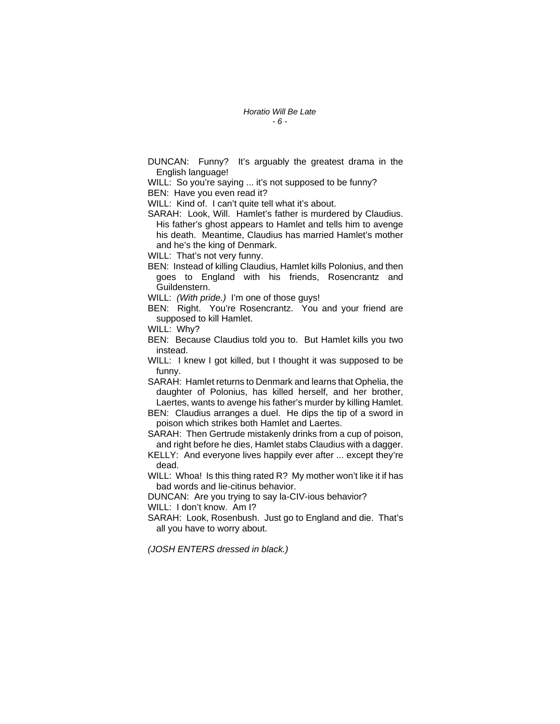DUNCAN: Funny? It's arguably the greatest drama in the English language!

WILL: So you're saying ... it's not supposed to be funny?

BEN: Have you even read it?

WILL: Kind of. I can't quite tell what it's about.

SARAH: Look, Will. Hamlet's father is murdered by Claudius. His father's ghost appears to Hamlet and tells him to avenge his death. Meantime, Claudius has married Hamlet's mother and he's the king of Denmark.

WILL: That's not very funny.

- BEN: Instead of killing Claudius, Hamlet kills Polonius, and then goes to England with his friends, Rosencrantz and Guildenstern.
- WILL: *(With pride.)* I'm one of those guys!
- BEN: Right. You're Rosencrantz. You and your friend are supposed to kill Hamlet.

WILL: Why?

BEN: Because Claudius told you to. But Hamlet kills you two instead.

WILL: I knew I got killed, but I thought it was supposed to be funny.

SARAH: Hamlet returns to Denmark and learns that Ophelia, the daughter of Polonius, has killed herself, and her brother, Laertes, wants to avenge his father's murder by killing Hamlet.

BEN: Claudius arranges a duel. He dips the tip of a sword in poison which strikes both Hamlet and Laertes.

- SARAH: Then Gertrude mistakenly drinks from a cup of poison, and right before he dies, Hamlet stabs Claudius with a dagger.
- KELLY: And everyone lives happily ever after ... except they're dead.

WILL: Whoa! Is this thing rated R? My mother won't like it if has bad words and lie-citinus behavior.

DUNCAN: Are you trying to say la-CIV-ious behavior? WILL: I don't know. Am I?

SARAH: Look, Rosenbush. Just go to England and die. That's all you have to worry about.

*(JOSH ENTERS dressed in black.)*